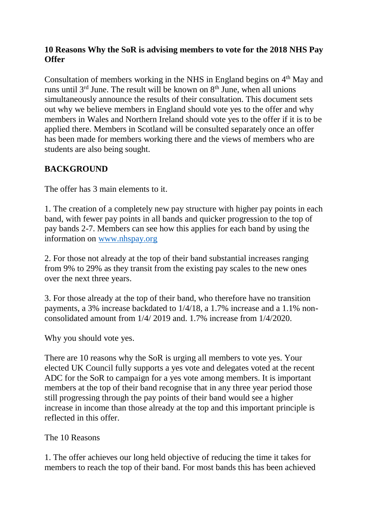## **10 Reasons Why the SoR is advising members to vote for the 2018 NHS Pay Offer**

Consultation of members working in the NHS in England begins on 4<sup>th</sup> May and runs until  $3<sup>rd</sup>$  June. The result will be known on  $8<sup>th</sup>$  June, when all unions simultaneously announce the results of their consultation. This document sets out why we believe members in England should vote yes to the offer and why members in Wales and Northern Ireland should vote yes to the offer if it is to be applied there. Members in Scotland will be consulted separately once an offer has been made for members working there and the views of members who are students are also being sought.

## **BACKGROUND**

The offer has 3 main elements to it.

1. The creation of a completely new pay structure with higher pay points in each band, with fewer pay points in all bands and quicker progression to the top of pay bands 2-7. Members can see how this applies for each band by using the information on [www.nhspay.org](http://www.nhspay.org/)

2. For those not already at the top of their band substantial increases ranging from 9% to 29% as they transit from the existing pay scales to the new ones over the next three years.

3. For those already at the top of their band, who therefore have no transition payments, a 3% increase backdated to 1/4/18, a 1.7% increase and a 1.1% nonconsolidated amount from 1/4/ 2019 and. 1.7% increase from 1/4/2020.

Why you should vote yes.

There are 10 reasons why the SoR is urging all members to vote yes. Your elected UK Council fully supports a yes vote and delegates voted at the recent ADC for the SoR to campaign for a yes vote among members. It is important members at the top of their band recognise that in any three year period those still progressing through the pay points of their band would see a higher increase in income than those already at the top and this important principle is reflected in this offer.

The 10 Reasons

1. The offer achieves our long held objective of reducing the time it takes for members to reach the top of their band. For most bands this has been achieved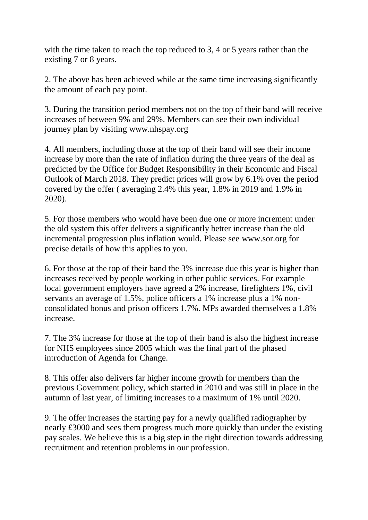with the time taken to reach the top reduced to 3, 4 or 5 years rather than the existing 7 or 8 years.

2. The above has been achieved while at the same time increasing significantly the amount of each pay point.

3. During the transition period members not on the top of their band will receive increases of between 9% and 29%. Members can see their own individual journey plan by visiting www.nhspay.org

4. All members, including those at the top of their band will see their income increase by more than the rate of inflation during the three years of the deal as predicted by the Office for Budget Responsibility in their Economic and Fiscal Outlook of March 2018. They predict prices will grow by 6.1% over the period covered by the offer ( averaging 2.4% this year, 1.8% in 2019 and 1.9% in 2020).

5. For those members who would have been due one or more increment under the old system this offer delivers a significantly better increase than the old incremental progression plus inflation would. Please see www.sor.org for precise details of how this applies to you.

6. For those at the top of their band the 3% increase due this year is higher than increases received by people working in other public services. For example local government employers have agreed a 2% increase, firefighters 1%, civil servants an average of 1.5%, police officers a 1% increase plus a 1% nonconsolidated bonus and prison officers 1.7%. MPs awarded themselves a 1.8% increase.

7. The 3% increase for those at the top of their band is also the highest increase for NHS employees since 2005 which was the final part of the phased introduction of Agenda for Change.

8. This offer also delivers far higher income growth for members than the previous Government policy, which started in 2010 and was still in place in the autumn of last year, of limiting increases to a maximum of 1% until 2020.

9. The offer increases the starting pay for a newly qualified radiographer by nearly £3000 and sees them progress much more quickly than under the existing pay scales. We believe this is a big step in the right direction towards addressing recruitment and retention problems in our profession.